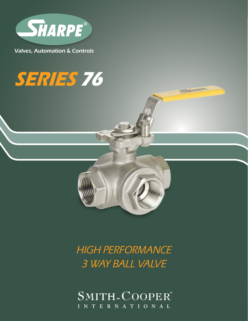

Valves, Automation & Controls

# **SERIES 76**



### HIGH PERFORMANCE 3 WAY BALL VALVE

SMITH-COOPER® INTERNATIONAL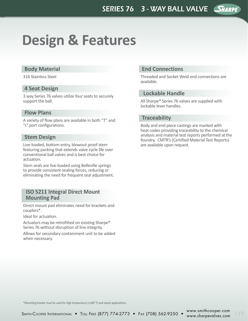## **Design & Features**

#### **Body Material**

316 Stainless Steel

#### **4 Seat Design**

3 way Series 76 valves utilize four seats to securely support the ball.

#### **Flow Plans**

A variety of flow plans are available in both "T" and "L" port configurations.

#### **Stem Design**

Live-loaded, bottom entry, blowout proof stem featuring packing that extends valve cycle life over conventional ball valves and is best choice for actuation.

Stem seals are live-loaded using Belleville springs to provide consistent sealing forces, reducing or eliminating the need for frequent seal adjustment.

#### **ISO 5211 Integral Direct Mount Mounting Pad**

Direct mount pad eliminates need for brackets and couplers\*.

Ideal for actuation.

Actuators may be retrofitted on existing Sharpe® Series 76 without disruption of line integrity.

Allows for secondary containment unit to be added when necessary.

#### **End Connections**

Threaded and Socket Weld end connections are available.

#### **Lockable Handle**

All Sharpe® Series 76 valves are supplied with lockable lever handles.

#### **Traceability**

Body and end piece castings are marked with heat codes providing traceability to the chemical analysis and material test reports performed at the foundry. CMTR's (Certified Material Test Reports) are available upon request.

\*Mounting bracket must be used for high temperature (>180°F) and steam applications.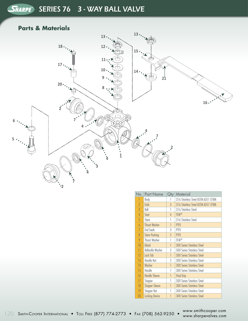### SHARPE SERIES 76 3 - WAY BALL VALVE

#### **Parts & Materials**



| No.            | <b>Part Name</b>         | Qty            | Material                           |
|----------------|--------------------------|----------------|------------------------------------|
|                | Body                     | 1              | 316 Stainless Steel ASTM A351 CF8M |
| $\gamma$       | <b>Ends</b>              | $\mathcal{S}$  | 316 Stainless Steel ASTM A351 CF8M |
| 3              | Ball                     | 1              | 316 Stainless Steel                |
| $\overline{4}$ | Seat                     | 4              | <b>TFM®</b>                        |
| 5              | Stem                     | 1              | 316 Stainless Steel                |
| 6              | <b>Thrust Washer</b>     | 1              | PTFE                               |
| 7              | <b>End Seals</b>         | 3              | PTFE                               |
| 8              | <b>Stem Packing</b>      | $\overline{2}$ | PTFE                               |
| 9              | <b>Thrust Washer</b>     | 1              | <b>TFM®</b>                        |
| 10             | Gland                    | 1              | <b>300 Series Stainless Steel</b>  |
| 11             | <b>Belleville Washer</b> | 2              | 300 Series Stainless Steel         |
| 12             | Lock Tab                 | 1              | <b>300 Series Stainless Steel</b>  |
| 13             | Handle Nut               | 2              | 300 Series Stainless Steel         |
| 14             | Washer                   |                | <b>300 Series Stainless Steel</b>  |
| 15             | Handle                   | 1              | 300 Series Stainless Steel         |
| 16             | <b>Handle Sleeve</b>     | 1              | <b>Vinyl Grip</b>                  |
| 17             | Stopper                  | 1              | 300 Series Stainless Steel         |
| 18             | <b>Stopper Sleeve</b>    | 1              | <b>300 Series Stainless Steel</b>  |
| 19             | Stopper Nut              | 1              | 300 Series Stainless Steel         |
| 20             | <b>Locking Device</b>    |                | <b>300 Series Stainless Steel</b>  |

120 Smith-Cooper International • Toll Free (877) 774-2773 • Fax (708) 562-9250 • www.sharpevalves.com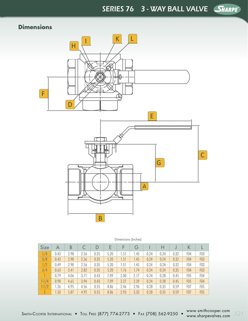SERIES 76 3 - WAY BALL VALVE SHARPE®

#### **Dimensions**



| <b>Size</b>    | A    | B    |      | D    | E    | F    | G    |      | Н    |      | Κ               |                  |
|----------------|------|------|------|------|------|------|------|------|------|------|-----------------|------------------|
| $\sqrt{4}$     | 0.43 | 2.98 | 2.56 | 0.35 | 5.20 | 1.51 | 1.45 | 0.24 | 0.24 | 0.32 | FO4             | F <sub>0</sub> 3 |
| 3/8            | 0.43 | 2.98 | 2.56 | 0.35 | 5.20 | 1.51 | 1.45 | 0.24 | 0.24 | 0.32 | F <sub>04</sub> | F <sub>0</sub> 3 |
|                | 0.49 | 2.98 | 2.56 | 0.35 | 5.20 | 1.51 | 1.45 | 0.24 | 0.24 | 0.32 | F04             | F <sub>0</sub> 3 |
| 3/4            | 0.63 | 3.41 | 2.82 | 0.35 | 5.20 | 1.76 | 1.74 | 0.24 | 0.24 | 0.35 | F <sub>04</sub> | <b>F03</b>       |
|                | 0.79 | 4.06 | 3.71 | 0.43 | 7.09 | 2.00 | 2.17 | 0.24 | 0.28 | 0.45 | F <sub>05</sub> | F <sub>04</sub>  |
| $1-1/4$        | 0.98 | 4.65 | 3.94 | 0.43 | 7.09 | 2.27 | 2.39 | 0.24 | 0.28 | 0.45 | F <sub>05</sub> | F <sub>04</sub>  |
| $1 - 1/2$      | 1.26 | 4.95 | 4.56 | 0.55 | 8.86 | 2.46 | 2.96 | 0.28 | 0.35 | 0.59 | F07             | F <sub>05</sub>  |
| $\overline{2}$ | 1.50 | 5.87 | 4.92 | 0.55 | 8.86 | 2.93 | 3.32 | 0.28 | 0.35 | 0.59 | <b>F07</b>      | F <sub>05</sub>  |

Dimensions (Inches)

Smith-Cooper International • Toll Free (877) 774-2773 • Fax (708) 562-9250 • www.smithcooper.com www.smincooper.com 121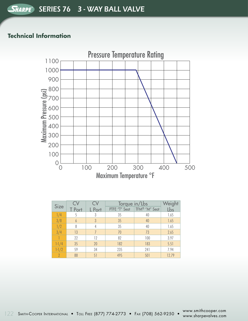#### **Technical Information**



| <b>Size</b>   |               |        | Torque in/Lbs | Weight        |       |  |
|---------------|---------------|--------|---------------|---------------|-------|--|
|               | <b>T</b> Port | L Port | PTFE "T" Seat | TFM® "M" Seat | Lbs   |  |
| 1/4           |               | 3      | 35            | 40            | 1.65  |  |
| 3/8           | 6             | 3      | 35            | 40            | 1.65  |  |
| $\frac{1}{2}$ | 8             |        | 35            | 40            | 1.65  |  |
| 3/4           | 13            |        | 70            | 73            | 2.65  |  |
|               | 22            | 12     | 82            | 100           | 3.97  |  |
| $1 - 1/4$     | 35            | 20     | 182           | 183           | 5.51  |  |
| $1 - 1/2$     | 59            | 34     | 235           | 241           | 7.94  |  |
|               | 88            | 51     | 495           | 501           | 12.79 |  |